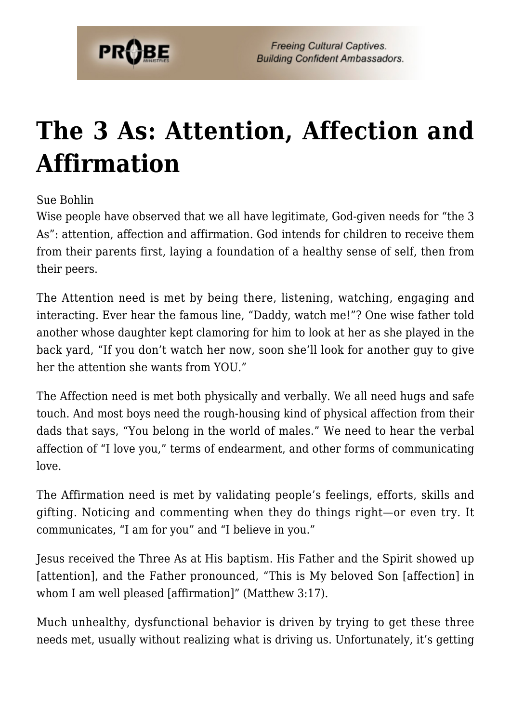

## **[The 3 As: Attention, Affection and](https://probe.org/the-3-as-attention-affection-and-affirmation/) [Affirmation](https://probe.org/the-3-as-attention-affection-and-affirmation/)**

Sue Bohlin

Wise people have observed that we all have legitimate, God-given needs for "the 3 As": attention, affection and affirmation. God intends for children to receive them from their parents first, laying a foundation of a healthy sense of self, then from their peers.

The Attention need is met by being there, listening, watching, engaging and interacting. Ever hear the famous line, "Daddy, watch me!"? One wise father told another whose daughter kept clamoring for him to look at her as she played in the back yard, "If you don't watch her now, soon she'll look for another guy to give her the attention she wants from YOU."

The Affection need is met both physically and verbally. We all need hugs and safe touch. And most boys need the rough-housing kind of physical affection from their dads that says, "You belong in the world of males." We need to hear the verbal affection of "I love you," terms of endearment, and other forms of communicating love.

The Affirmation need is met by validating people's feelings, efforts, skills and gifting. Noticing and commenting when they do things right—or even try. It communicates, "I am for you" and "I believe in you."

Jesus received the Three As at His baptism. His Father and the Spirit showed up [attention], and the Father pronounced, "This is My beloved Son [affection] in whom I am well pleased [affirmation]" (Matthew 3:17).

Much unhealthy, dysfunctional behavior is driven by trying to get these three needs met, usually without realizing what is driving us. Unfortunately, it's getting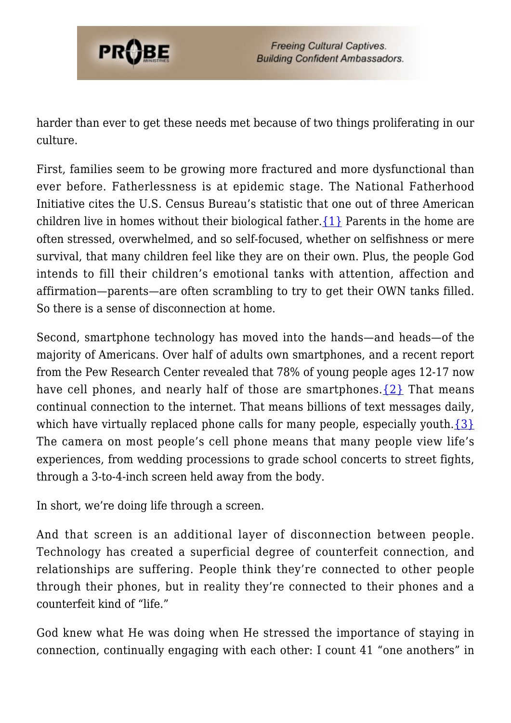

harder than ever to get these needs met because of two things proliferating in our culture.

First, families seem to be growing more fractured and more dysfunctional than ever before. Fatherlessness is at epidemic stage. The National Fatherhood Initiative cites the U.S. Census Bureau's statistic that one out of three American children live in homes without their biological father.  $\{1\}$  Parents in the home are often stressed, overwhelmed, and so self-focused, whether on selfishness or mere survival, that many children feel like they are on their own. Plus, the people God intends to fill their children's emotional tanks with attention, affection and affirmation—parents—are often scrambling to try to get their OWN tanks filled. So there is a sense of disconnection at home.

Second, smartphone technology has moved into the hands—and heads—of the majority of Americans. Over half of adults own smartphones, and a recent report from the Pew Research Center revealed that 78% of young people ages 12-17 now have cell phones, and nearly half of those are smartphones. $\{2\}$  That means continual connection to the internet. That means billions of text messages daily, which have virtually replaced phone calls for many people, especially youth. $\{3\}$ The camera on most people's cell phone means that many people view life's experiences, from wedding processions to grade school concerts to street fights, through a 3-to-4-inch screen held away from the body.

In short, we're doing life through a screen.

And that screen is an additional layer of disconnection between people. Technology has created a superficial degree of counterfeit connection, and relationships are suffering. People think they're connected to other people through their phones, but in reality they're connected to their phones and a counterfeit kind of "life."

God knew what He was doing when He stressed the importance of staying in connection, continually engaging with each other: I count 41 "one anothers" in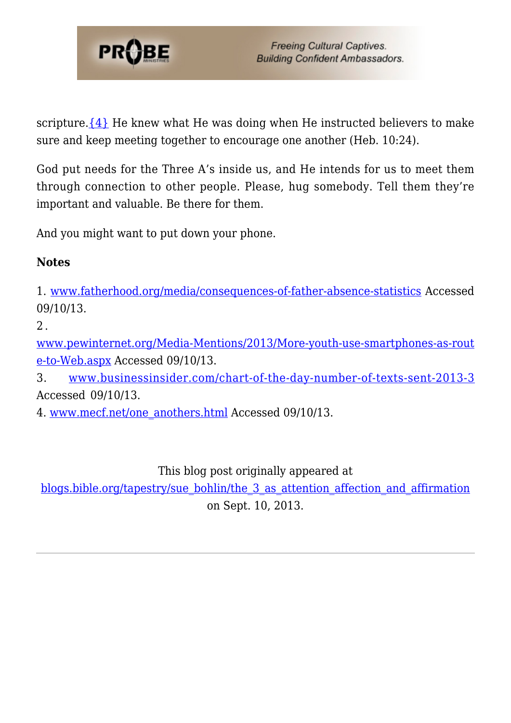

scripture. $\{4\}$  He knew what He was doing when He instructed believers to make sure and keep meeting together to encourage one another (Heb. 10:24).

God put needs for the Three A's inside us, and He intends for us to meet them through connection to other people. Please, hug somebody. Tell them they're important and valuable. Be there for them.

And you might want to put down your phone.

## **Notes**

<span id="page-2-0"></span>1. [www.fatherhood.org/media/consequences-of-father-absence-statistics](http://www.fatherhood.org/media/consequences-of-father-absence-statistics) Accessed 09/10/13.

<span id="page-2-1"></span> $2.$ 

[www.pewinternet.org/Media-Mentions/2013/More-youth-use-smartphones-as-rout](http://www.pewinternet.org/Media-Mentions/2013/More-youth-use-smartphones-as-route-to-Web.aspx) [e-to-Web.aspx](http://www.pewinternet.org/Media-Mentions/2013/More-youth-use-smartphones-as-route-to-Web.aspx) Accessed 09/10/13.

<span id="page-2-2"></span>3. [www.businessinsider.com/chart-of-the-day-number-of-texts-sent-2013-3](http://www.businessinsider.com/chart-of-the-day-number-of-texts-sent-2013-3) Accessed 09/10/13.

<span id="page-2-3"></span>4. [www.mecf.net/one\\_anothers.html](http://www.mecf.net/one_anothers.html) Accessed 09/10/13.

This blog post originally appeared at

[blogs.bible.org/tapestry/sue\\_bohlin/the\\_3\\_as\\_attention\\_affection\\_and\\_affirmation](http://blogs.bible.org/tapestry/sue_bohlin/the_3_as_attention_affection_and_affirmation)

on Sept. 10, 2013.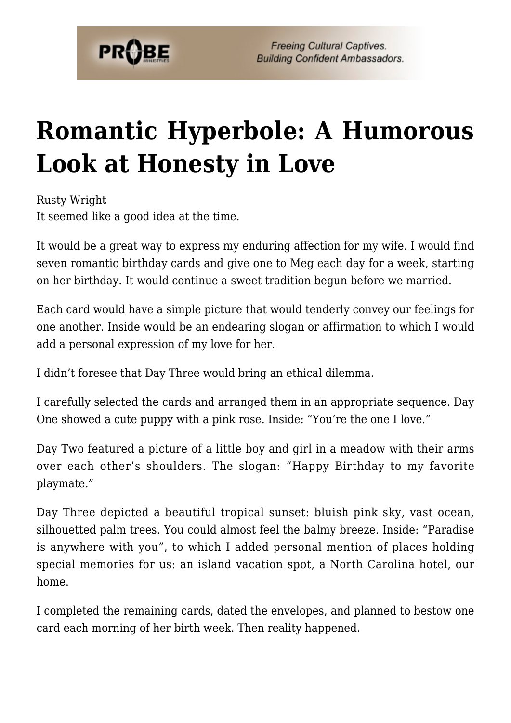

**Freeing Cultural Captives. Building Confident Ambassadors.** 

## **[Romantic Hyperbole: A Humorous](https://probe.org/romantic-hyperbole-a-humorous-look-at-honesty-in-love/) [Look at Honesty in Love](https://probe.org/romantic-hyperbole-a-humorous-look-at-honesty-in-love/)**

Rusty Wright It seemed like a good idea at the time.

It would be a great way to express my enduring affection for my wife. I would find seven romantic birthday cards and give one to Meg each day for a week, starting on her birthday. It would continue a sweet tradition begun before we married.

Each card would have a simple picture that would tenderly convey our feelings for one another. Inside would be an endearing slogan or affirmation to which I would add a personal expression of my love for her.

I didn't foresee that Day Three would bring an ethical dilemma.

I carefully selected the cards and arranged them in an appropriate sequence. Day One showed a cute puppy with a pink rose. Inside: "You're the one I love."

Day Two featured a picture of a little boy and girl in a meadow with their arms over each other's shoulders. The slogan: "Happy Birthday to my favorite playmate."

Day Three depicted a beautiful tropical sunset: bluish pink sky, vast ocean, silhouetted palm trees. You could almost feel the balmy breeze. Inside: "Paradise is anywhere with you", to which I added personal mention of places holding special memories for us: an island vacation spot, a North Carolina hotel, our home.

I completed the remaining cards, dated the envelopes, and planned to bestow one card each morning of her birth week. Then reality happened.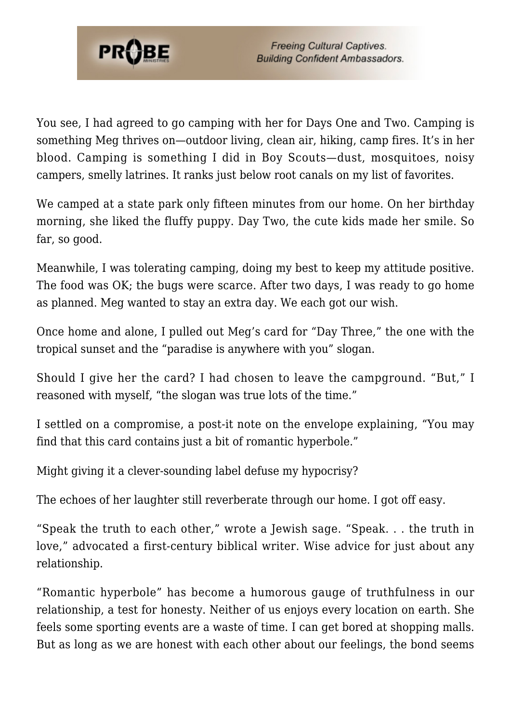

You see, I had agreed to go camping with her for Days One and Two. Camping is something Meg thrives on—outdoor living, clean air, hiking, camp fires. It's in her blood. Camping is something I did in Boy Scouts—dust, mosquitoes, noisy campers, smelly latrines. It ranks just below root canals on my list of favorites.

We camped at a state park only fifteen minutes from our home. On her birthday morning, she liked the fluffy puppy. Day Two, the cute kids made her smile. So far, so good.

Meanwhile, I was tolerating camping, doing my best to keep my attitude positive. The food was OK; the bugs were scarce. After two days, I was ready to go home as planned. Meg wanted to stay an extra day. We each got our wish.

Once home and alone, I pulled out Meg's card for "Day Three," the one with the tropical sunset and the "paradise is anywhere with you" slogan.

Should I give her the card? I had chosen to leave the campground. "But," I reasoned with myself, "the slogan was true lots of the time."

I settled on a compromise, a post-it note on the envelope explaining, "You may find that this card contains just a bit of romantic hyperbole."

Might giving it a clever-sounding label defuse my hypocrisy?

The echoes of her laughter still reverberate through our home. I got off easy.

"Speak the truth to each other," wrote a Jewish sage. "Speak. . . the truth in love," advocated a first-century biblical writer. Wise advice for just about any relationship.

"Romantic hyperbole" has become a humorous gauge of truthfulness in our relationship, a test for honesty. Neither of us enjoys every location on earth. She feels some sporting events are a waste of time. I can get bored at shopping malls. But as long as we are honest with each other about our feelings, the bond seems